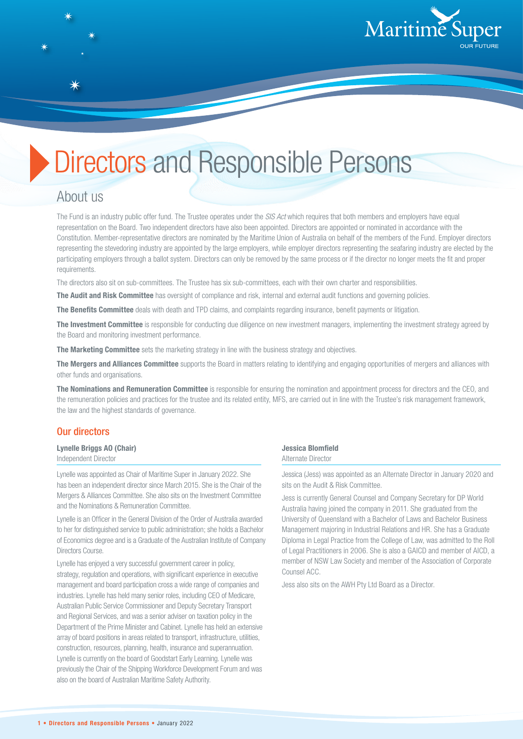

# Directors and Responsible Persons

# About us

The Fund is an industry public offer fund. The Trustee operates under the *SIS Act* which requires that both members and employers have equal representation on the Board. Two independent directors have also been appointed. Directors are appointed or nominated in accordance with the Constitution. Member-representative directors are nominated by the Maritime Union of Australia on behalf of the members of the Fund. Employer directors representing the stevedoring industry are appointed by the large employers, while employer directors representing the seafaring industry are elected by the participating employers through a ballot system. Directors can only be removed by the same process or if the director no longer meets the fit and proper requirements.

The directors also sit on sub-committees. The Trustee has six sub-committees, each with their own charter and responsibilities.

**The Audit and Risk Committee** has oversight of compliance and risk, internal and external audit functions and governing policies.

**The Benefits Committee** deals with death and TPD claims, and complaints regarding insurance, benefit payments or litigation.

**The Investment Committee** is responsible for conducting due diligence on new investment managers, implementing the investment strategy agreed by the Board and monitoring investment performance.

**The Marketing Committee** sets the marketing strategy in line with the business strategy and objectives.

**The Mergers and Alliances Committee** supports the Board in matters relating to identifying and engaging opportunities of mergers and alliances with other funds and organisations.

**The Nominations and Remuneration Committee** is responsible for ensuring the nomination and appointment process for directors and the CEO, and the remuneration policies and practices for the trustee and its related entity, MFS, are carried out in line with the Trustee's risk management framework, the law and the highest standards of governance.

#### Our directors

# **Lynelle Briggs AO (Chair)**

Independent Director

Lynelle was appointed as Chair of Maritime Super in January 2022. She has been an independent director since March 2015. She is the Chair of the Mergers & Alliances Committee. She also sits on the Investment Committee and the Nominations & Remuneration Committee.

Lynelle is an Officer in the General Division of the Order of Australia awarded to her for distinguished service to public administration; she holds a Bachelor of Economics degree and is a Graduate of the Australian Institute of Company Directors Course.

Lynelle has enjoyed a very successful government career in policy, strategy, regulation and operations, with significant experience in executive management and board participation cross a wide range of companies and industries. Lynelle has held many senior roles, including CEO of Medicare, Australian Public Service Commissioner and Deputy Secretary Transport and Regional Services, and was a senior adviser on taxation policy in the Department of the Prime Minister and Cabinet. Lynelle has held an extensive array of board positions in areas related to transport, infrastructure, utilities, construction, resources, planning, health, insurance and superannuation. Lynelle is currently on the board of Goodstart Early Learning. Lynelle was previously the Chair of the Shipping Workforce Development Forum and was also on the board of Australian Maritime Safety Authority.

#### **Jessica Blomfield** Alternate Director

Jessica (Jess) was appointed as an Alternate Director in January 2020 and sits on the Audit & Risk Committee.

Jess is currently General Counsel and Company Secretary for DP World Australia having joined the company in 2011. She graduated from the University of Queensland with a Bachelor of Laws and Bachelor Business Management majoring in Industrial Relations and HR. She has a Graduate Diploma in Legal Practice from the College of Law, was admitted to the Roll of Legal Practitioners in 2006. She is also a GAICD and member of AICD, a member of NSW Law Society and member of the Association of Corporate Counsel ACC.

Jess also sits on the AWH Pty Ltd Board as a Director.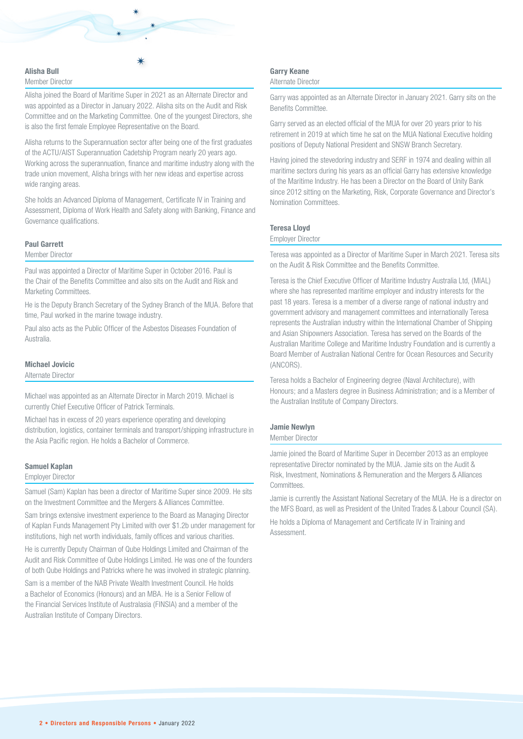

# Member Director

Alisha joined the Board of Maritime Super in 2021 as an Alternate Director and was appointed as a Director in January 2022. Alisha sits on the Audit and Risk Committee and on the Marketing Committee. One of the youngest Directors, she is also the first female Employee Representative on the Board.

Alisha returns to the Superannuation sector after being one of the first graduates of the ACTU/AIST Superannuation Cadetship Program nearly 20 years ago. Working across the superannuation, finance and maritime industry along with the trade union movement, Alisha brings with her new ideas and expertise across wide ranging areas.

She holds an Advanced Diploma of Management, Certificate IV in Training and Assessment, Diploma of Work Health and Safety along with Banking, Finance and Governance qualifications.

#### **Paul Garrett**

Member Director

Paul was appointed a Director of Maritime Super in October 2016. Paul is the Chair of the Benefits Committee and also sits on the Audit and Risk and Marketing Committees.

He is the Deputy Branch Secretary of the Sydney Branch of the MUA. Before that time, Paul worked in the marine towage industry.

Paul also acts as the Public Officer of the Asbestos Diseases Foundation of Australia.

#### **Michael Jovicic**

Alternate Director

Michael was appointed as an Alternate Director in March 2019. Michael is currently Chief Executive Officer of Patrick Terminals.

Michael has in excess of 20 years experience operating and developing distribution, logistics, container terminals and transport/shipping infrastructure in the Asia Pacific region. He holds a Bachelor of Commerce.

### **Samuel Kaplan**

#### Employer Director

Samuel (Sam) Kaplan has been a director of Maritime Super since 2009. He sits on the Investment Committee and the Mergers & Alliances Committee.

Sam brings extensive investment experience to the Board as Managing Director of Kaplan Funds Management Pty Limited with over \$1.2b under management for institutions, high net worth individuals, family offices and various charities.

He is currently Deputy Chairman of Qube Holdings Limited and Chairman of the Audit and Risk Committee of Qube Holdings Limited. He was one of the founders of both Qube Holdings and Patricks where he was involved in strategic planning.

Sam is a member of the NAB Private Wealth Investment Council. He holds a Bachelor of Economics (Honours) and an MBA. He is a Senior Fellow of the Financial Services Institute of Australasia (FINSIA) and a member of the Australian Institute of Company Directors.

#### **Garry Keane**

#### Alternate Director

Garry was appointed as an Alternate Director in January 2021. Garry sits on the Benefits Committee.

Garry served as an elected official of the MUA for over 20 years prior to his retirement in 2019 at which time he sat on the MUA National Executive holding positions of Deputy National President and SNSW Branch Secretary.

Having joined the stevedoring industry and SERF in 1974 and dealing within all maritime sectors during his years as an official Garry has extensive knowledge of the Maritime Industry. He has been a Director on the Board of Unity Bank since 2012 sitting on the Marketing, Risk, Corporate Governance and Director's Nomination Committees.

#### **Teresa Lloyd**

#### Employer Director

Teresa was appointed as a Director of Maritime Super in March 2021. Teresa sits on the Audit & Risk Committee and the Benefits Committee.

Teresa is the Chief Executive Officer of Maritime Industry Australia Ltd, (MIAL) where she has represented maritime employer and industry interests for the past 18 years. Teresa is a member of a diverse range of national industry and government advisory and management committees and internationally Teresa represents the Australian industry within the International Chamber of Shipping and Asian Shipowners Association. Teresa has served on the Boards of the Australian Maritime College and Maritime Industry Foundation and is currently a Board Member of Australian National Centre for Ocean Resources and Security (ANCORS).

Teresa holds a Bachelor of Engineering degree (Naval Architecture), with Honours; and a Masters degree in Business Administration; and is a Member of the Australian Institute of Company Directors.

#### **Jamie Newlyn**

#### Member Director

Jamie joined the Board of Maritime Super in December 2013 as an employee representative Director nominated by the MUA. Jamie sits on the Audit & Risk, Investment, Nominations & Remuneration and the Mergers & Alliances **Committees** 

Jamie is currently the Assistant National Secretary of the MUA. He is a director on the MFS Board, as well as President of the United Trades & Labour Council (SA). He holds a Diploma of Management and Certificate IV in Training and Assessment.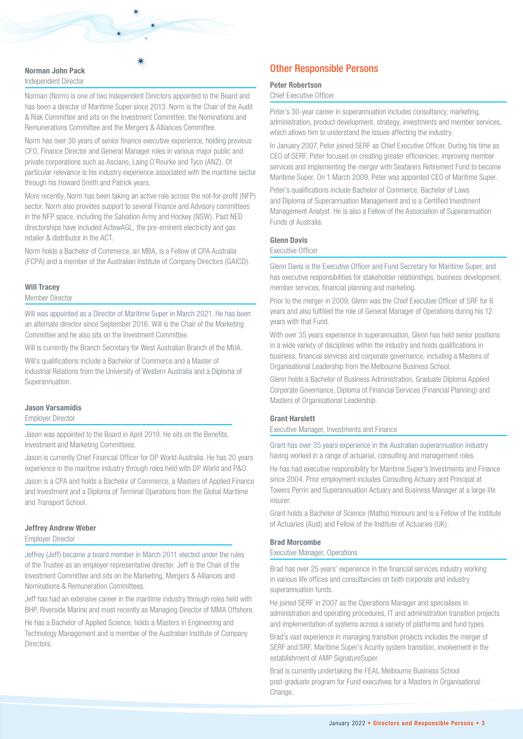#### **Norman John Pack** Independent Director

Norman (Norm) is one of two Independent Directors appointed to the Board and has been a director of Maritime Super since 2013. Norm is the Chair of the Audit & Risk Committee and sits on the Investment Committee, the Nominations and Remunerations Committee and the Mergers & Alliances Committee.

Norm has over 30 years of senior finance executive experience, holding previous CFO, Finance Director and General Manager roles in various major public and private corporations such as Asciano, Laing O'Rourke and Tyco (ANZ). Of particular relevance is his industry experience associated with the maritime sector through his Howard Smith and Patrick years.

More recently, Norm has been taking an active role across the not-for-profit (NFP) sector. Norm also provides support to several Finance and Advisory committees in the NFP space, including the Salvation Army and Hockey (NSW). Past NED directorships have included ActewAGL, the pre-eminent electricity and gas retailer & distributor in the ACT.

Norm holds a Bachelor of Commerce, an MBA, is a Fellow of CPA Australia (FCPA) and a member of the Australian Institute of Company Directors (GAICD).

#### **Will Tracey**

Member Director

Will was appointed as a Director of Maritime Super in March 2021. He has been an alternate director since September 2016. Will is the Chair of the Marketing Committee and he also sits on the Investment Committee.

Will is currently the Branch Secretary for West Australian Branch of the MUA.

Will's qualifications include a Bachelor of Commerce and a Master of Industrial Relations from the University of Western Australia and a Diploma of Superannuation.

#### **Jason Varsamidis**

Employer Director

Jason was appointed to the Board in April 2019. He sits on the Benefits, Investment and Marketing Committees.

Jason is currently Chief Financial Officer for DP World Australia. He has 20 years experience in the maritime industry through roles held with DP World and P&O.

Jason is a CPA and holds a Bachelor of Commerce, a Masters of Applied Finance and Investment and a Diploma of Terminal Operations from the Global Maritime and Transport School.

#### **Jeffrey Andrew Weber**

#### Employer Director

Jeffrey (Jeff) became a board member in March 2011 elected under the rules of the Trustee as an employer representative director. Jeff is the Chair of the Investment Committee and sits on the Marketing, Mergers & Alliances and Nominations & Remuneration Committees.

Jeff has had an extensive career in the maritime industry through roles held with BHP, Riverside Marine and most recently as Managing Director of MMA Offshore.

He has a Bachelor of Applied Science, holds a Masters in Engineering and Technology Management and is member of the Australian Institute of Company **Directors** 

# Other Responsible Persons

#### **Peter Robertson**

#### Chief Executive Officer

Peter's 30-year career in superannuation includes consultancy, marketing, administration, product development, strategy, investments and member services, which allows him to understand the issues affecting the industry.

In January 2007, Peter joined SERF as Chief Executive Officer. During his time as CEO of SERF, Peter focused on creating greater efficiencies, improving member services and implementing the merger with Seafarers Retirement Fund to become Maritime Super. On 1 March 2009, Peter was appointed CEO of Maritime Super.

Peter's qualifications include Bachelor of Commerce, Bachelor of Laws and Diploma of Superannuation Management and is a Certified Investment Management Analyst. He is also a Fellow of the Association of Superannuation Funds of Australia.

#### **Glenn Davis**

#### Executive Officer

Glenn Davis is the Executive Officer and Fund Secretary for Maritime Super, and has executive responsibilities for stakeholder relationships, business development, member services, financial planning and marketing.

Prior to the merger in 2009, Glenn was the Chief Executive Officer of SRF for 6 years and also fulfilled the role of General Manager of Operations during his 12 years with that Fund.

With over 35 years experience in superannuation, Glenn has held senior positions in a wide variety of disciplines within the industry and holds qualifications in business, financial services and corporate governance, including a Masters of Organisational Leadership from the Melbourne Business School.

Glenn holds a Bachelor of Business Administration, Graduate Diploma Applied Corporate Governance, Diploma of Financial Services (Financial Planning) and Masters of Organisational Leadership.

#### **Grant Harslett**

Executive Manager, Investments and Finance

Grant has over 35 years experience in the Australian superannuation industry having worked in a range of actuarial, consulting and management roles.

He has had executive responsibility for Maritime Super's Investments and Finance since 2004. Prior employment includes Consulting Actuary and Principal at Towers Perrin and Superannuation Actuary and Business Manager at a large life insurer.

Grant holds a Bachelor of Science (Maths) Honours and is a Fellow of the Institute of Actuaries (Aust) and Fellow of the Institute of Actuaries (UK).

#### **Brad Morcombe**

Executive Manager, Operations

Brad has over 25 years' experience in the financial services industry working in various life offices and consultancies on both corporate and industry superannuation funds.

He joined SERF in 2007 as the Operations Manager and specialises in administration and operating procedures, IT and administration transition projects and implementation of systems across a variety of platforms and fund types.

Brad's vast experience in managing transition projects includes the merger of SERF and SRF, Maritime Super's Acurity system transition, involvement in the establishment of AMP SignatureSuper.

Brad is currently undertaking the FEAL Melbourne Business School post-graduate program for Fund executives for a Masters in Organisational Change.